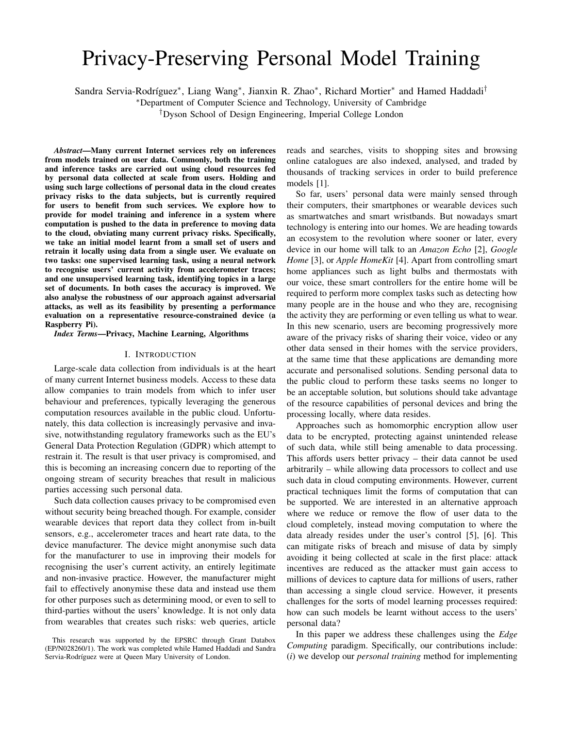# Privacy-Preserving Personal Model Training

Sandra Servia-Rodríguez<sup>∗</sup>, Liang Wang<sup>∗</sup>, Jianxin R. Zhao<sup>∗</sup>, Richard Mortier<sup>∗</sup> and Hamed Haddadi<sup>†</sup>

<sup>∗</sup>Department of Computer Science and Technology, University of Cambridge

†Dyson School of Design Engineering, Imperial College London

*Abstract*—Many current Internet services rely on inferences from models trained on user data. Commonly, both the training and inference tasks are carried out using cloud resources fed by personal data collected at scale from users. Holding and using such large collections of personal data in the cloud creates privacy risks to the data subjects, but is currently required for users to benefit from such services. We explore how to provide for model training and inference in a system where computation is pushed to the data in preference to moving data to the cloud, obviating many current privacy risks. Specifically, we take an initial model learnt from a small set of users and retrain it locally using data from a single user. We evaluate on two tasks: one supervised learning task, using a neural network to recognise users' current activity from accelerometer traces; and one unsupervised learning task, identifying topics in a large set of documents. In both cases the accuracy is improved. We also analyse the robustness of our approach against adversarial attacks, as well as its feasibility by presenting a performance evaluation on a representative resource-constrained device (a Raspberry Pi).

*Index Terms*—Privacy, Machine Learning, Algorithms

#### I. INTRODUCTION

Large-scale data collection from individuals is at the heart of many current Internet business models. Access to these data allow companies to train models from which to infer user behaviour and preferences, typically leveraging the generous computation resources available in the public cloud. Unfortunately, this data collection is increasingly pervasive and invasive, notwithstanding regulatory frameworks such as the EU's General Data Protection Regulation (GDPR) which attempt to restrain it. The result is that user privacy is compromised, and this is becoming an increasing concern due to reporting of the ongoing stream of security breaches that result in malicious parties accessing such personal data.

Such data collection causes privacy to be compromised even without security being breached though. For example, consider wearable devices that report data they collect from in-built sensors, e.g., accelerometer traces and heart rate data, to the device manufacturer. The device might anonymise such data for the manufacturer to use in improving their models for recognising the user's current activity, an entirely legitimate and non-invasive practice. However, the manufacturer might fail to effectively anonymise these data and instead use them for other purposes such as determining mood, or even to sell to third-parties without the users' knowledge. It is not only data from wearables that creates such risks: web queries, article

reads and searches, visits to shopping sites and browsing online catalogues are also indexed, analysed, and traded by thousands of tracking services in order to build preference models [1].

So far, users' personal data were mainly sensed through their computers, their smartphones or wearable devices such as smartwatches and smart wristbands. But nowadays smart technology is entering into our homes. We are heading towards an ecosystem to the revolution where sooner or later, every device in our home will talk to an *Amazon Echo* [2], *Google Home* [3], or *Apple HomeKit* [4]. Apart from controlling smart home appliances such as light bulbs and thermostats with our voice, these smart controllers for the entire home will be required to perform more complex tasks such as detecting how many people are in the house and who they are, recognising the activity they are performing or even telling us what to wear. In this new scenario, users are becoming progressively more aware of the privacy risks of sharing their voice, video or any other data sensed in their homes with the service providers, at the same time that these applications are demanding more accurate and personalised solutions. Sending personal data to the public cloud to perform these tasks seems no longer to be an acceptable solution, but solutions should take advantage of the resource capabilities of personal devices and bring the processing locally, where data resides.

Approaches such as homomorphic encryption allow user data to be encrypted, protecting against unintended release of such data, while still being amenable to data processing. This affords users better privacy – their data cannot be used arbitrarily – while allowing data processors to collect and use such data in cloud computing environments. However, current practical techniques limit the forms of computation that can be supported. We are interested in an alternative approach where we reduce or remove the flow of user data to the cloud completely, instead moving computation to where the data already resides under the user's control [5], [6]. This can mitigate risks of breach and misuse of data by simply avoiding it being collected at scale in the first place: attack incentives are reduced as the attacker must gain access to millions of devices to capture data for millions of users, rather than accessing a single cloud service. However, it presents challenges for the sorts of model learning processes required: how can such models be learnt without access to the users' personal data?

In this paper we address these challenges using the *Edge Computing* paradigm. Specifically, our contributions include: (*i*) we develop our *personal training* method for implementing

This research was supported by the EPSRC through Grant Databox (EP/N028260/1). The work was completed while Hamed Haddadi and Sandra Servia-Rodríguez were at Queen Mary University of London.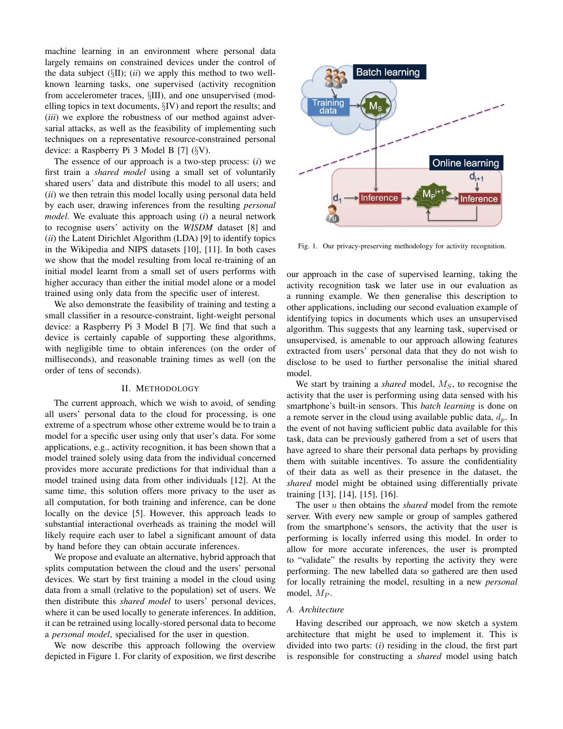machine learning in an environment where personal data largely remains on constrained devices under the control of the data subject  $(\S II)$ ; *(ii)* we apply this method to two wellknown learning tasks, one supervised (activity recognition from accelerometer traces, §III), and one unsupervised (modelling topics in text documents, §IV) and report the results; and (*iii*) we explore the robustness of our method against adversarial attacks, as well as the feasibility of implementing such techniques on a representative resource-constrained personal device: a Raspberry Pi 3 Model B [7] (§V).

The essence of our approach is a two-step process: (*i*) we first train a *shared model* using a small set of voluntarily shared users' data and distribute this model to all users; and (*ii*) we then retrain this model locally using personal data held by each user, drawing inferences from the resulting *personal model*. We evaluate this approach using (*i*) a neural network to recognise users' activity on the *WISDM* dataset [8] and (*ii*) the Latent Dirichlet Algorithm (LDA) [9] to identify topics in the Wikipedia and NIPS datasets [10], [11]. In both cases we show that the model resulting from local re-training of an initial model learnt from a small set of users performs with higher accuracy than either the initial model alone or a model trained using only data from the specific user of interest.

We also demonstrate the feasibility of training and testing a small classifier in a resource-constraint, light-weight personal device: a Raspberry Pi 3 Model B [7]. We find that such a device is certainly capable of supporting these algorithms, with negligible time to obtain inferences (on the order of milliseconds), and reasonable training times as well (on the order of tens of seconds).

#### II. METHODOLOGY

The current approach, which we wish to avoid, of sending all users' personal data to the cloud for processing, is one extreme of a spectrum whose other extreme would be to train a model for a specific user using only that user's data. For some applications, e.g., activity recognition, it has been shown that a model trained solely using data from the individual concerned provides more accurate predictions for that individual than a model trained using data from other individuals [12]. At the same time, this solution offers more privacy to the user as all computation, for both training and inference, can be done locally on the device [5]. However, this approach leads to substantial interactional overheads as training the model will likely require each user to label a significant amount of data by hand before they can obtain accurate inferences.

We propose and evaluate an alternative, hybrid approach that splits computation between the cloud and the users' personal devices. We start by first training a model in the cloud using data from a small (relative to the population) set of users. We then distribute this *shared model* to users' personal devices, where it can be used locally to generate inferences. In addition, it can be retrained using locally-stored personal data to become a *personal model*, specialised for the user in question.

We now describe this approach following the overview depicted in Figure 1. For clarity of exposition, we first describe



Fig. 1. Our privacy-preserving methodology for activity recognition.

our approach in the case of supervised learning, taking the activity recognition task we later use in our evaluation as a running example. We then generalise this description to other applications, including our second evaluation example of identifying topics in documents which uses an unsupervised algorithm. This suggests that any learning task, supervised or unsupervised, is amenable to our approach allowing features extracted from users' personal data that they do not wish to disclose to be used to further personalise the initial shared model.

We start by training a *shared* model,  $M_S$ , to recognise the activity that the user is performing using data sensed with his smartphone's built-in sensors. This *batch learning* is done on a remote server in the cloud using available public data,  $d_p$ . In the event of not having sufficient public data available for this task, data can be previously gathered from a set of users that have agreed to share their personal data perhaps by providing them with suitable incentives. To assure the confidentiality of their data as well as their presence in the dataset, the *shared* model might be obtained using differentially private training [13], [14], [15], [16].

The user u then obtains the *shared* model from the remote server. With every new sample or group of samples gathered from the smartphone's sensors, the activity that the user is performing is locally inferred using this model. In order to allow for more accurate inferences, the user is prompted to "validate" the results by reporting the activity they were performing. The new labelled data so gathered are then used for locally retraining the model, resulting in a new *personal* model,  $M_P$ .

#### *A. Architecture*

Having described our approach, we now sketch a system architecture that might be used to implement it. This is divided into two parts: (*i*) residing in the cloud, the first part is responsible for constructing a *shared* model using batch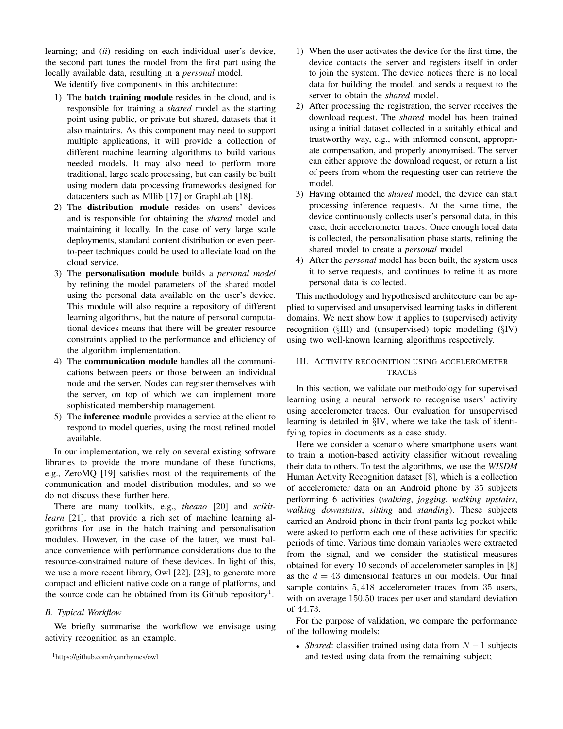learning; and (*ii*) residing on each individual user's device, the second part tunes the model from the first part using the locally available data, resulting in a *personal* model.

We identify five components in this architecture:

- 1) The batch training module resides in the cloud, and is responsible for training a *shared* model as the starting point using public, or private but shared, datasets that it also maintains. As this component may need to support multiple applications, it will provide a collection of different machine learning algorithms to build various needed models. It may also need to perform more traditional, large scale processing, but can easily be built using modern data processing frameworks designed for datacenters such as Mllib [17] or GraphLab [18].
- 2) The distribution module resides on users' devices and is responsible for obtaining the *shared* model and maintaining it locally. In the case of very large scale deployments, standard content distribution or even peerto-peer techniques could be used to alleviate load on the cloud service.
- 3) The personalisation module builds a *personal model* by refining the model parameters of the shared model using the personal data available on the user's device. This module will also require a repository of different learning algorithms, but the nature of personal computational devices means that there will be greater resource constraints applied to the performance and efficiency of the algorithm implementation.
- 4) The communication module handles all the communications between peers or those between an individual node and the server. Nodes can register themselves with the server, on top of which we can implement more sophisticated membership management.
- 5) The inference module provides a service at the client to respond to model queries, using the most refined model available.

In our implementation, we rely on several existing software libraries to provide the more mundane of these functions, e.g., ZeroMQ [19] satisfies most of the requirements of the communication and model distribution modules, and so we do not discuss these further here.

There are many toolkits, e.g., *theano* [20] and *scikitlearn* [21], that provide a rich set of machine learning algorithms for use in the batch training and personalisation modules. However, in the case of the latter, we must balance convenience with performance considerations due to the resource-constrained nature of these devices. In light of this, we use a more recent library, Owl [22], [23], to generate more compact and efficient native code on a range of platforms, and the source code can be obtained from its Github repository<sup>1</sup>.

# *B. Typical Workflow*

We briefly summarise the workflow we envisage using activity recognition as an example.

<sup>1</sup>https://github.com/ryanrhymes/owl

- 1) When the user activates the device for the first time, the device contacts the server and registers itself in order to join the system. The device notices there is no local data for building the model, and sends a request to the server to obtain the *shared* model.
- 2) After processing the registration, the server receives the download request. The *shared* model has been trained using a initial dataset collected in a suitably ethical and trustworthy way, e.g., with informed consent, appropriate compensation, and properly anonymised. The server can either approve the download request, or return a list of peers from whom the requesting user can retrieve the model.
- 3) Having obtained the *shared* model, the device can start processing inference requests. At the same time, the device continuously collects user's personal data, in this case, their accelerometer traces. Once enough local data is collected, the personalisation phase starts, refining the shared model to create a *personal* model.
- 4) After the *personal* model has been built, the system uses it to serve requests, and continues to refine it as more personal data is collected.

This methodology and hypothesised architecture can be applied to supervised and unsupervised learning tasks in different domains. We next show how it applies to (supervised) activity recognition (§III) and (unsupervised) topic modelling (§IV) using two well-known learning algorithms respectively.

# III. ACTIVITY RECOGNITION USING ACCELEROMETER **TRACES**

In this section, we validate our methodology for supervised learning using a neural network to recognise users' activity using accelerometer traces. Our evaluation for unsupervised learning is detailed in §IV, where we take the task of identifying topics in documents as a case study.

Here we consider a scenario where smartphone users want to train a motion-based activity classifier without revealing their data to others. To test the algorithms, we use the *WISDM* Human Activity Recognition dataset [8], which is a collection of accelerometer data on an Android phone by 35 subjects performing 6 activities (*walking*, *jogging*, *walking upstairs*, *walking downstairs*, *sitting* and *standing*). These subjects carried an Android phone in their front pants leg pocket while were asked to perform each one of these activities for specific periods of time. Various time domain variables were extracted from the signal, and we consider the statistical measures obtained for every 10 seconds of accelerometer samples in [8] as the  $d = 43$  dimensional features in our models. Our final sample contains 5, 418 accelerometer traces from 35 users, with on average 150.50 traces per user and standard deviation of 44.73.

For the purpose of validation, we compare the performance of the following models:

• *Shared*: classifier trained using data from N − 1 subjects and tested using data from the remaining subject;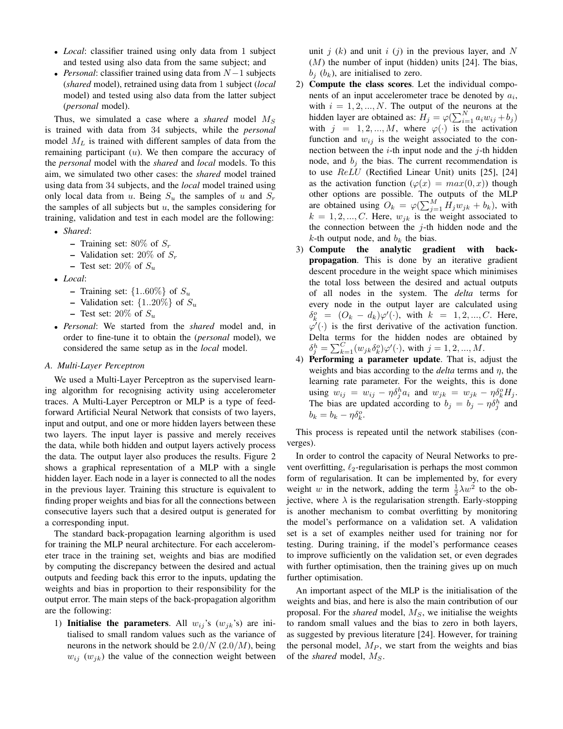- *Local*: classifier trained using only data from 1 subject and tested using also data from the same subject; and
- *Personal*: classifier trained using data from  $N-1$  subjects (*shared* model), retrained using data from 1 subject (*local* model) and tested using also data from the latter subject (*personal* model).

Thus, we simulated a case where a *shared* model  $M<sub>S</sub>$ is trained with data from 34 subjects, while the *personal* model  $M_L$  is trained with different samples of data from the remaining participant  $(u)$ . We then compare the accuracy of the *personal* model with the *shared* and *local* models. To this aim, we simulated two other cases: the *shared* model trained using data from 34 subjects, and the *local* model trained using only local data from u. Being  $S_u$  the samples of u and  $S_r$ the samples of all subjects but  $u$ , the samples considering for training, validation and test in each model are the following:

- *Shared*:
	- Training set: 80% of  $S_r$
	- Validation set:  $20\%$  of  $S_r$
	- Test set: 20% of  $S_u$
- *Local*:
	- Training set:  $\{1..60\% \}$  of  $S_u$
	- Validation set:  $\{1..20\% \}$  of  $S_u$
	- Test set:  $20\%$  of  $S_u$
- *Personal*: We started from the *shared* model and, in order to fine-tune it to obtain the (*personal* model), we considered the same setup as in the *local* model.

# *A. Multi-Layer Perceptron*

We used a Multi-Layer Perceptron as the supervised learning algorithm for recognising activity using accelerometer traces. A Multi-Layer Perceptron or MLP is a type of feedforward Artificial Neural Network that consists of two layers, input and output, and one or more hidden layers between these two layers. The input layer is passive and merely receives the data, while both hidden and output layers actively process the data. The output layer also produces the results. Figure 2 shows a graphical representation of a MLP with a single hidden layer. Each node in a layer is connected to all the nodes in the previous layer. Training this structure is equivalent to finding proper weights and bias for all the connections between consecutive layers such that a desired output is generated for a corresponding input.

The standard back-propagation learning algorithm is used for training the MLP neural architecture. For each accelerometer trace in the training set, weights and bias are modified by computing the discrepancy between the desired and actual outputs and feeding back this error to the inputs, updating the weights and bias in proportion to their responsibility for the output error. The main steps of the back-propagation algorithm are the following:

1) Initialise the parameters. All  $w_{ij}$ 's  $(w_{jk})$  are initialised to small random values such as the variance of neurons in the network should be  $2.0/N$  ( $2.0/M$ ), being  $w_{ij}$  ( $w_{jk}$ ) the value of the connection weight between unit j  $(k)$  and unit i  $(j)$  in the previous layer, and N  $(M)$  the number of input (hidden) units [24]. The bias,  $b_i$  ( $b_k$ ), are initialised to zero.

- 2) Compute the class scores. Let the individual components of an input accelerometer trace be denoted by  $a_i$ , with  $i = 1, 2, ..., N$ . The output of the neurons at the hidden layer are obtained as:  $H_j = \varphi(\sum_{i=1}^N a_i w_{ij} + b_j)$ with  $j = 1, 2, ..., M$ , where  $\varphi(\cdot)$  is the activation function and  $w_{ij}$  is the weight associated to the connection between the  $i$ -th input node and the  $j$ -th hidden node, and  $b_i$  the bias. The current recommendation is to use ReLU (Rectified Linear Unit) units [25], [24] as the activation function  $(\varphi(x) = max(0, x))$  though other options are possible. The outputs of the MLP are obtained using  $O_k = \varphi(\sum_{j=1}^M \hat{H}_j w_{jk} + b_k)$ , with  $k = 1, 2, ..., C$ . Here,  $w_{jk}$  is the weight associated to the connection between the  $j$ -th hidden node and the  $k$ -th output node, and  $b_k$  the bias.
- 3) Compute the analytic gradient with backpropagation. This is done by an iterative gradient descent procedure in the weight space which minimises the total loss between the desired and actual outputs of all nodes in the system. The *delta* terms for every node in the output layer are calculated using  $\delta_k^o = (O_k - d_k) \varphi'(\cdot)$ , with  $k = 1, 2, ..., C$ . Here,  $\varphi'(\cdot)$  is the first derivative of the activation function. Delta terms for the hidden nodes are obtained by  $\delta_j^h = \sum_{k=1}^C (w_{jk} \delta_k^o) \varphi'(\cdot)$ , with  $j = 1, 2, ..., M$ .
- 4) Performing a parameter update. That is, adjust the weights and bias according to the *delta* terms and η, the learning rate parameter. For the weights, this is done using  $w_{ij} = w_{ij} - \eta \delta_j^h a_i$  and  $w_{jk} = w_{jk} - \eta \delta_k^o H_j$ . The bias are updated according to  $b_j = b_j - \eta \delta_j^h$  and  $b_k = b_k - \eta \delta_k^o.$

This process is repeated until the network stabilises (converges).

In order to control the capacity of Neural Networks to prevent overfitting,  $\ell_2$ -regularisation is perhaps the most common form of regularisation. It can be implemented by, for every weight w in the network, adding the term  $\frac{1}{2}\lambda w^2$  to the objective, where  $\lambda$  is the regularisation strength. Early-stopping is another mechanism to combat overfitting by monitoring the model's performance on a validation set. A validation set is a set of examples neither used for training nor for testing. During training, if the model's performance ceases to improve sufficiently on the validation set, or even degrades with further optimisation, then the training gives up on much further optimisation.

An important aspect of the MLP is the initialisation of the weights and bias, and here is also the main contribution of our proposal. For the *shared* model,  $M<sub>S</sub>$ , we initialise the weights to random small values and the bias to zero in both layers, as suggested by previous literature [24]. However, for training the personal model,  $M<sub>P</sub>$ , we start from the weights and bias of the *shared* model,  $M<sub>S</sub>$ .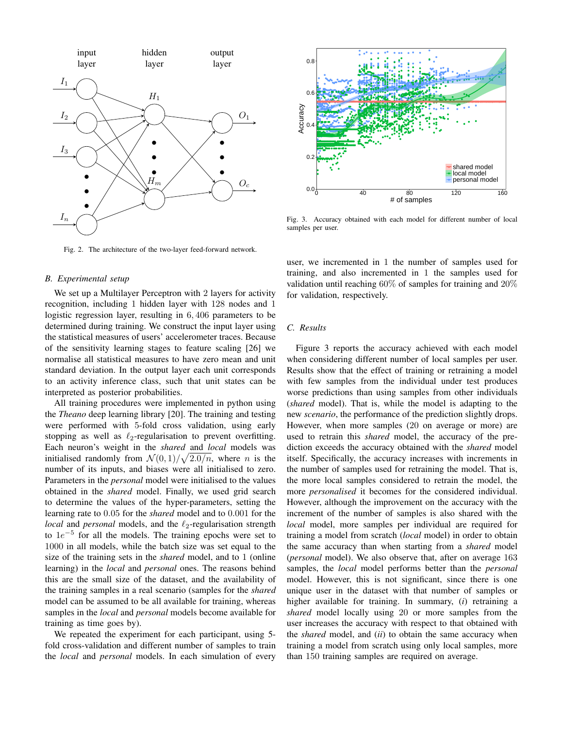

Fig. 2. The architecture of the two-layer feed-forward network.

#### *B. Experimental setup*

We set up a Multilayer Perceptron with 2 layers for activity recognition, including 1 hidden layer with 128 nodes and 1 logistic regression layer, resulting in 6, 406 parameters to be determined during training. We construct the input layer using the statistical measures of users' accelerometer traces. Because of the sensitivity learning stages to feature scaling [26] we normalise all statistical measures to have zero mean and unit standard deviation. In the output layer each unit corresponds to an activity inference class, such that unit states can be interpreted as posterior probabilities.

All training procedures were implemented in python using the *Theano* deep learning library [20]. The training and testing were performed with 5-fold cross validation, using early stopping as well as  $\ell_2$ -regularisation to prevent overfitting. Each neuron's weight in the *shared* and *local* models was initialised randomly from  $\mathcal{N}(0,1)/\sqrt{2.0/n}$ , where *n* is the number of its inputs, and biases were all initialised to zero. Parameters in the *personal* model were initialised to the values obtained in the *shared* model. Finally, we used grid search to determine the values of the hyper-parameters, setting the learning rate to 0.05 for the *shared* model and to 0.001 for the *local* and *personal* models, and the  $\ell_2$ -regularisation strength to  $1e^{-5}$  for all the models. The training epochs were set to 1000 in all models, while the batch size was set equal to the size of the training sets in the *shared* model, and to 1 (online learning) in the *local* and *personal* ones. The reasons behind this are the small size of the dataset, and the availability of the training samples in a real scenario (samples for the *shared* model can be assumed to be all available for training, whereas samples in the *local* and *personal* models become available for training as time goes by).

We repeated the experiment for each participant, using 5 fold cross-validation and different number of samples to train the *local* and *personal* models. In each simulation of every



Fig. 3. Accuracy obtained with each model for different number of local samples per user.

user, we incremented in 1 the number of samples used for training, and also incremented in 1 the samples used for validation until reaching 60% of samples for training and 20% for validation, respectively.

## *C. Results*

Figure 3 reports the accuracy achieved with each model when considering different number of local samples per user. Results show that the effect of training or retraining a model with few samples from the individual under test produces worse predictions than using samples from other individuals (*shared* model). That is, while the model is adapting to the new *scenario*, the performance of the prediction slightly drops. However, when more samples (20 on average or more) are used to retrain this *shared* model, the accuracy of the prediction exceeds the accuracy obtained with the *shared* model itself. Specifically, the accuracy increases with increments in the number of samples used for retraining the model. That is, the more local samples considered to retrain the model, the more *personalised* it becomes for the considered individual. However, although the improvement on the accuracy with the increment of the number of samples is also shared with the *local* model, more samples per individual are required for training a model from scratch (*local* model) in order to obtain the same accuracy than when starting from a *shared* model (*personal* model). We also observe that, after on average 163 samples, the *local* model performs better than the *personal* model. However, this is not significant, since there is one unique user in the dataset with that number of samples or higher available for training. In summary, (*i*) retraining a *shared* model locally using 20 or more samples from the user increases the accuracy with respect to that obtained with the *shared* model, and (*ii*) to obtain the same accuracy when training a model from scratch using only local samples, more than 150 training samples are required on average.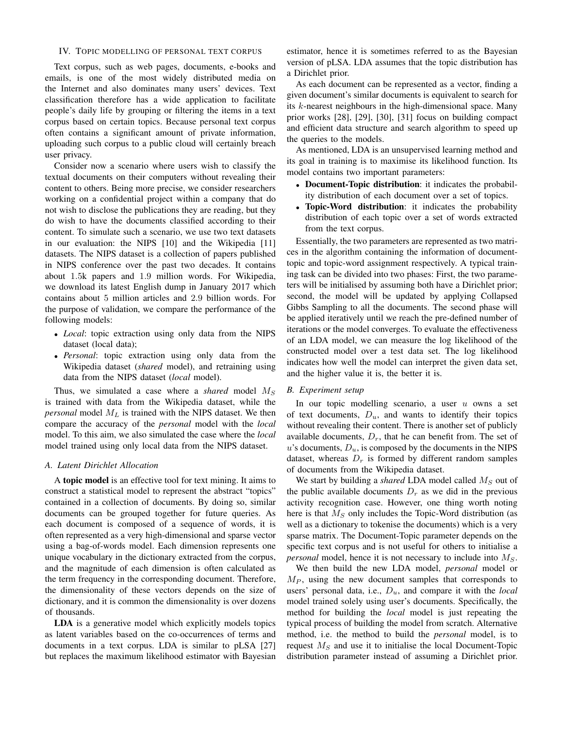### IV. TOPIC MODELLING OF PERSONAL TEXT CORPUS

Text corpus, such as web pages, documents, e-books and emails, is one of the most widely distributed media on the Internet and also dominates many users' devices. Text classification therefore has a wide application to facilitate people's daily life by grouping or filtering the items in a text corpus based on certain topics. Because personal text corpus often contains a significant amount of private information, uploading such corpus to a public cloud will certainly breach user privacy.

Consider now a scenario where users wish to classify the textual documents on their computers without revealing their content to others. Being more precise, we consider researchers working on a confidential project within a company that do not wish to disclose the publications they are reading, but they do wish to have the documents classified according to their content. To simulate such a scenario, we use two text datasets in our evaluation: the NIPS [10] and the Wikipedia [11] datasets. The NIPS dataset is a collection of papers published in NIPS conference over the past two decades. It contains about 1.5k papers and 1.9 million words. For Wikipedia, we download its latest English dump in January 2017 which contains about 5 million articles and 2.9 billion words. For the purpose of validation, we compare the performance of the following models:

- *Local*: topic extraction using only data from the NIPS dataset (local data);
- *Personal*: topic extraction using only data from the Wikipedia dataset (*shared* model), and retraining using data from the NIPS dataset (*local* model).

Thus, we simulated a case where a *shared* model  $M<sub>S</sub>$ is trained with data from the Wikipedia dataset, while the *personal* model  $M_L$  is trained with the NIPS dataset. We then compare the accuracy of the *personal* model with the *local* model. To this aim, we also simulated the case where the *local* model trained using only local data from the NIPS dataset.

#### *A. Latent Dirichlet Allocation*

A topic model is an effective tool for text mining. It aims to construct a statistical model to represent the abstract "topics" contained in a collection of documents. By doing so, similar documents can be grouped together for future queries. As each document is composed of a sequence of words, it is often represented as a very high-dimensional and sparse vector using a bag-of-words model. Each dimension represents one unique vocabulary in the dictionary extracted from the corpus, and the magnitude of each dimension is often calculated as the term frequency in the corresponding document. Therefore, the dimensionality of these vectors depends on the size of dictionary, and it is common the dimensionality is over dozens of thousands.

LDA is a generative model which explicitly models topics as latent variables based on the co-occurrences of terms and documents in a text corpus. LDA is similar to pLSA [27] but replaces the maximum likelihood estimator with Bayesian

estimator, hence it is sometimes referred to as the Bayesian version of pLSA. LDA assumes that the topic distribution has a Dirichlet prior.

As each document can be represented as a vector, finding a given document's similar documents is equivalent to search for its k-nearest neighbours in the high-dimensional space. Many prior works [28], [29], [30], [31] focus on building compact and efficient data structure and search algorithm to speed up the queries to the models.

As mentioned, LDA is an unsupervised learning method and its goal in training is to maximise its likelihood function. Its model contains two important parameters:

- Document-Topic distribution: it indicates the probability distribution of each document over a set of topics.
- Topic-Word distribution: it indicates the probability distribution of each topic over a set of words extracted from the text corpus.

Essentially, the two parameters are represented as two matrices in the algorithm containing the information of documenttopic and topic-word assignment respectively. A typical training task can be divided into two phases: First, the two parameters will be initialised by assuming both have a Dirichlet prior; second, the model will be updated by applying Collapsed Gibbs Sampling to all the documents. The second phase will be applied iteratively until we reach the pre-defined number of iterations or the model converges. To evaluate the effectiveness of an LDA model, we can measure the log likelihood of the constructed model over a test data set. The log likelihood indicates how well the model can interpret the given data set, and the higher value it is, the better it is.

#### *B. Experiment setup*

In our topic modelling scenario, a user  $u$  owns a set of text documents,  $D_u$ , and wants to identify their topics without revealing their content. There is another set of publicly available documents,  $D<sub>r</sub>$ , that he can benefit from. The set of  $u$ 's documents,  $D_u$ , is composed by the documents in the NIPS dataset, whereas  $D<sub>r</sub>$  is formed by different random samples of documents from the Wikipedia dataset.

We start by building a *shared* LDA model called  $M<sub>S</sub>$  out of the public available documents  $D<sub>r</sub>$  as we did in the previous activity recognition case. However, one thing worth noting here is that  $M<sub>S</sub>$  only includes the Topic-Word distribution (as well as a dictionary to tokenise the documents) which is a very sparse matrix. The Document-Topic parameter depends on the specific text corpus and is not useful for others to initialise a *personal* model, hence it is not necessary to include into  $M<sub>S</sub>$ .

We then build the new LDA model, *personal* model or  $M<sub>P</sub>$ , using the new document samples that corresponds to users' personal data, i.e., Du, and compare it with the *local* model trained solely using user's documents. Specifically, the method for building the *local* model is just repeating the typical process of building the model from scratch. Alternative method, i.e. the method to build the *personal* model, is to request  $M<sub>S</sub>$  and use it to initialise the local Document-Topic distribution parameter instead of assuming a Dirichlet prior.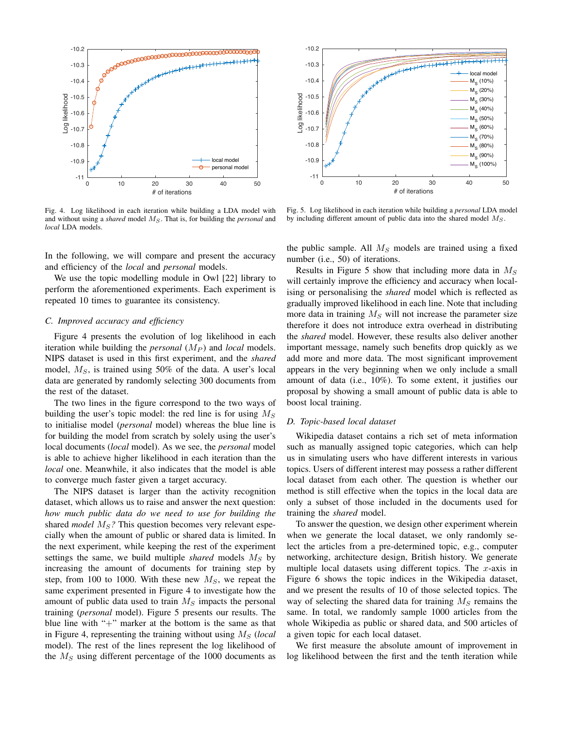

Fig. 4. Log likelihood in each iteration while building a LDA model with and without using a *shared* model  $M_S$ . That is, for building the *personal* and *local* LDA models.

In the following, we will compare and present the accuracy and efficiency of the *local* and *personal* models.

We use the topic modelling module in Owl [22] library to perform the aforementioned experiments. Each experiment is repeated 10 times to guarantee its consistency.

#### *C. Improved accuracy and efficiency*

Figure 4 presents the evolution of log likelihood in each iteration while building the *personal* (M<sub>P</sub>) and *local* models. NIPS dataset is used in this first experiment, and the *shared* model,  $M<sub>S</sub>$ , is trained using 50% of the data. A user's local data are generated by randomly selecting 300 documents from the rest of the dataset.

The two lines in the figure correspond to the two ways of building the user's topic model: the red line is for using  $M<sub>S</sub>$ to initialise model (*personal* model) whereas the blue line is for building the model from scratch by solely using the user's local documents (*local* model). As we see, the *personal* model is able to achieve higher likelihood in each iteration than the *local* one. Meanwhile, it also indicates that the model is able to converge much faster given a target accuracy.

The NIPS dataset is larger than the activity recognition dataset, which allows us to raise and answer the next question: *how much public data do we need to use for building the* shared *model*  $M_S$ ? This question becomes very relevant especially when the amount of public or shared data is limited. In the next experiment, while keeping the rest of the experiment settings the same, we build multiple *shared* models  $M<sub>S</sub>$  by increasing the amount of documents for training step by step, from 100 to 1000. With these new  $M<sub>S</sub>$ , we repeat the same experiment presented in Figure 4 to investigate how the amount of public data used to train  $M<sub>S</sub>$  impacts the personal training (*personal* model). Figure 5 presents our results. The blue line with "+" marker at the bottom is the same as that in Figure 4, representing the training without using  $M<sub>S</sub>$  (*local*) model). The rest of the lines represent the log likelihood of the  $M<sub>S</sub>$  using different percentage of the 1000 documents as



Fig. 5. Log likelihood in each iteration while building a *personal* LDA model by including different amount of public data into the shared model  $M_S$ .

the public sample. All  $M<sub>S</sub>$  models are trained using a fixed number (i.e., 50) of iterations.

Results in Figure 5 show that including more data in  $M<sub>S</sub>$ will certainly improve the efficiency and accuracy when localising or personalising the *shared* model which is reflected as gradually improved likelihood in each line. Note that including more data in training  $M<sub>S</sub>$  will not increase the parameter size therefore it does not introduce extra overhead in distributing the *shared* model. However, these results also deliver another important message, namely such benefits drop quickly as we add more and more data. The most significant improvement appears in the very beginning when we only include a small amount of data (i.e., 10%). To some extent, it justifies our proposal by showing a small amount of public data is able to boost local training.

#### *D. Topic-based local dataset*

Wikipedia dataset contains a rich set of meta information such as manually assigned topic categories, which can help us in simulating users who have different interests in various topics. Users of different interest may possess a rather different local dataset from each other. The question is whether our method is still effective when the topics in the local data are only a subset of those included in the documents used for training the *shared* model.

To answer the question, we design other experiment wherein when we generate the local dataset, we only randomly select the articles from a pre-determined topic, e.g., computer networking, architecture design, British history. We generate multiple local datasets using different topics. The  $x$ -axis in Figure 6 shows the topic indices in the Wikipedia dataset, and we present the results of 10 of those selected topics. The way of selecting the shared data for training  $M<sub>S</sub>$  remains the same. In total, we randomly sample 1000 articles from the whole Wikipedia as public or shared data, and 500 articles of a given topic for each local dataset.

We first measure the absolute amount of improvement in log likelihood between the first and the tenth iteration while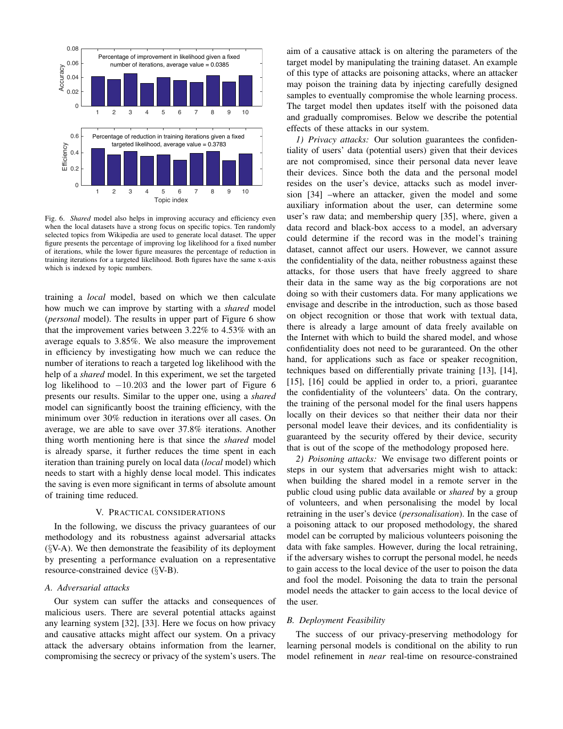

Fig. 6. *Shared* model also helps in improving accuracy and efficiency even when the local datasets have a strong focus on specific topics. Ten randomly selected topics from Wikipedia are used to generate local dataset. The upper figure presents the percentage of improving log likelihood for a fixed number of iterations, while the lower figure measures the percentage of reduction in training iterations for a targeted likelihood. Both figures have the same x-axis which is indexed by topic numbers.

training a *local* model, based on which we then calculate how much we can improve by starting with a *shared* model (*personal* model). The results in upper part of Figure 6 show that the improvement varies between 3.22% to 4.53% with an average equals to 3.85%. We also measure the improvement in efficiency by investigating how much we can reduce the number of iterations to reach a targeted log likelihood with the help of a *shared* model. In this experiment, we set the targeted log likelihood to −10.203 and the lower part of Figure 6 presents our results. Similar to the upper one, using a *shared* model can significantly boost the training efficiency, with the minimum over 30% reduction in iterations over all cases. On average, we are able to save over 37.8% iterations. Another thing worth mentioning here is that since the *shared* model is already sparse, it further reduces the time spent in each iteration than training purely on local data (*local* model) which needs to start with a highly dense local model. This indicates the saving is even more significant in terms of absolute amount of training time reduced.

## V. PRACTICAL CONSIDERATIONS

In the following, we discuss the privacy guarantees of our methodology and its robustness against adversarial attacks  $(\S{V-A})$ . We then demonstrate the feasibility of its deployment by presenting a performance evaluation on a representative resource-constrained device (§V-B).

#### *A. Adversarial attacks*

Our system can suffer the attacks and consequences of malicious users. There are several potential attacks against any learning system [32], [33]. Here we focus on how privacy and causative attacks might affect our system. On a privacy attack the adversary obtains information from the learner, compromising the secrecy or privacy of the system's users. The aim of a causative attack is on altering the parameters of the target model by manipulating the training dataset. An example of this type of attacks are poisoning attacks, where an attacker may poison the training data by injecting carefully designed samples to eventually compromise the whole learning process. The target model then updates itself with the poisoned data and gradually compromises. Below we describe the potential effects of these attacks in our system.

*1) Privacy attacks:* Our solution guarantees the confidentiality of users' data (potential users) given that their devices are not compromised, since their personal data never leave their devices. Since both the data and the personal model resides on the user's device, attacks such as model inversion [34] –where an attacker, given the model and some auxiliary information about the user, can determine some user's raw data; and membership query [35], where, given a data record and black-box access to a model, an adversary could determine if the record was in the model's training dataset, cannot affect our users. However, we cannot assure the confidentiality of the data, neither robustness against these attacks, for those users that have freely aggreed to share their data in the same way as the big corporations are not doing so with their customers data. For many applications we envisage and describe in the introduction, such as those based on object recognition or those that work with textual data, there is already a large amount of data freely available on the Internet with which to build the shared model, and whose confidentiality does not need to be guraranteed. On the other hand, for applications such as face or speaker recognition, techniques based on differentially private training [13], [14], [15], [16] could be applied in order to, a priori, guarantee the confidentiality of the volunteers' data. On the contrary, the training of the personal model for the final users happens locally on their devices so that neither their data nor their personal model leave their devices, and its confidentiality is guaranteed by the security offered by their device, security that is out of the scope of the methodology proposed here.

*2) Poisoning attacks:* We envisage two different points or steps in our system that adversaries might wish to attack: when building the shared model in a remote server in the public cloud using public data available or *shared* by a group of volunteers, and when personalising the model by local retraining in the user's device (*personalisation*). In the case of a poisoning attack to our proposed methodology, the shared model can be corrupted by malicious volunteers poisoning the data with fake samples. However, during the local retraining, if the adversary wishes to corrupt the personal model, he needs to gain access to the local device of the user to poison the data and fool the model. Poisoning the data to train the personal model needs the attacker to gain access to the local device of the user.

#### *B. Deployment Feasibility*

The success of our privacy-preserving methodology for learning personal models is conditional on the ability to run model refinement in *near* real-time on resource-constrained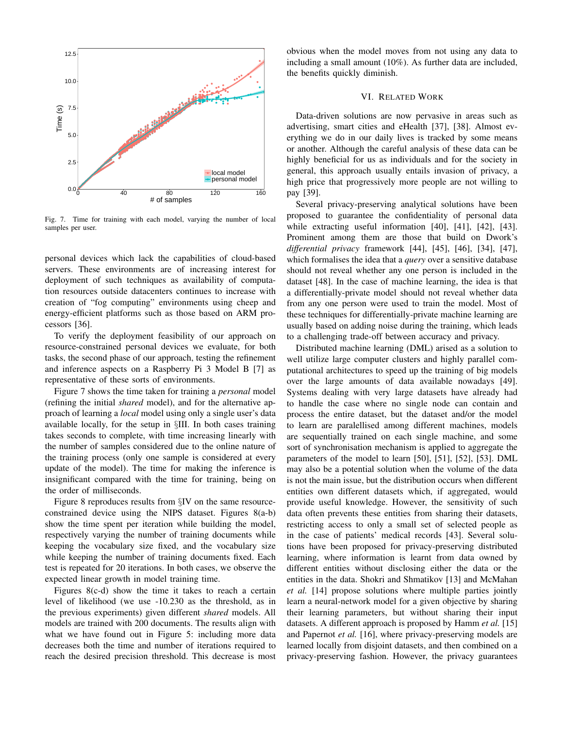

Fig. 7. Time for training with each model, varying the number of local samples per user.

personal devices which lack the capabilities of cloud-based servers. These environments are of increasing interest for deployment of such techniques as availability of computation resources outside datacenters continues to increase with creation of "fog computing" environments using cheep and energy-efficient platforms such as those based on ARM processors [36].

To verify the deployment feasibility of our approach on resource-constrained personal devices we evaluate, for both tasks, the second phase of our approach, testing the refinement and inference aspects on a Raspberry Pi 3 Model B [7] as representative of these sorts of environments.

Figure 7 shows the time taken for training a *personal* model (refining the initial *shared* model), and for the alternative approach of learning a *local* model using only a single user's data available locally, for the setup in §III. In both cases training takes seconds to complete, with time increasing linearly with the number of samples considered due to the online nature of the training process (only one sample is considered at every update of the model). The time for making the inference is insignificant compared with the time for training, being on the order of milliseconds.

Figure 8 reproduces results from §IV on the same resourceconstrained device using the NIPS dataset. Figures 8(a-b) show the time spent per iteration while building the model, respectively varying the number of training documents while keeping the vocabulary size fixed, and the vocabulary size while keeping the number of training documents fixed. Each test is repeated for 20 iterations. In both cases, we observe the expected linear growth in model training time.

Figures 8(c-d) show the time it takes to reach a certain level of likelihood (we use -10.230 as the threshold, as in the previous experiments) given different *shared* models. All models are trained with 200 documents. The results align with what we have found out in Figure 5: including more data decreases both the time and number of iterations required to reach the desired precision threshold. This decrease is most obvious when the model moves from not using any data to including a small amount (10%). As further data are included, the benefits quickly diminish.

## VI. RELATED WORK

Data-driven solutions are now pervasive in areas such as advertising, smart cities and eHealth [37], [38]. Almost everything we do in our daily lives is tracked by some means or another. Although the careful analysis of these data can be highly beneficial for us as individuals and for the society in general, this approach usually entails invasion of privacy, a high price that progressively more people are not willing to pay [39].

Several privacy-preserving analytical solutions have been proposed to guarantee the confidentiality of personal data while extracting useful information [40], [41], [42], [43]. Prominent among them are those that build on Dwork's *differential privacy* framework [44], [45], [46], [34], [47], which formalises the idea that a *query* over a sensitive database should not reveal whether any one person is included in the dataset [48]. In the case of machine learning, the idea is that a differentially-private model should not reveal whether data from any one person were used to train the model. Most of these techniques for differentially-private machine learning are usually based on adding noise during the training, which leads to a challenging trade-off between accuracy and privacy.

Distributed machine learning (DML) arised as a solution to well utilize large computer clusters and highly parallel computational architectures to speed up the training of big models over the large amounts of data available nowadays [49]. Systems dealing with very large datasets have already had to handle the case where no single node can contain and process the entire dataset, but the dataset and/or the model to learn are paralellised among different machines, models are sequentially trained on each single machine, and some sort of synchronisation mechanism is applied to aggregate the parameters of the model to learn [50], [51], [52], [53]. DML may also be a potential solution when the volume of the data is not the main issue, but the distribution occurs when different entities own different datasets which, if aggregated, would provide useful knowledge. However, the sensitivity of such data often prevents these entities from sharing their datasets, restricting access to only a small set of selected people as in the case of patients' medical records [43]. Several solutions have been proposed for privacy-preserving distributed learning, where information is learnt from data owned by different entities without disclosing either the data or the entities in the data. Shokri and Shmatikov [13] and McMahan *et al.* [14] propose solutions where multiple parties jointly learn a neural-network model for a given objective by sharing their learning parameters, but without sharing their input datasets. A different approach is proposed by Hamm *et al.* [15] and Papernot *et al.* [16], where privacy-preserving models are learned locally from disjoint datasets, and then combined on a privacy-preserving fashion. However, the privacy guarantees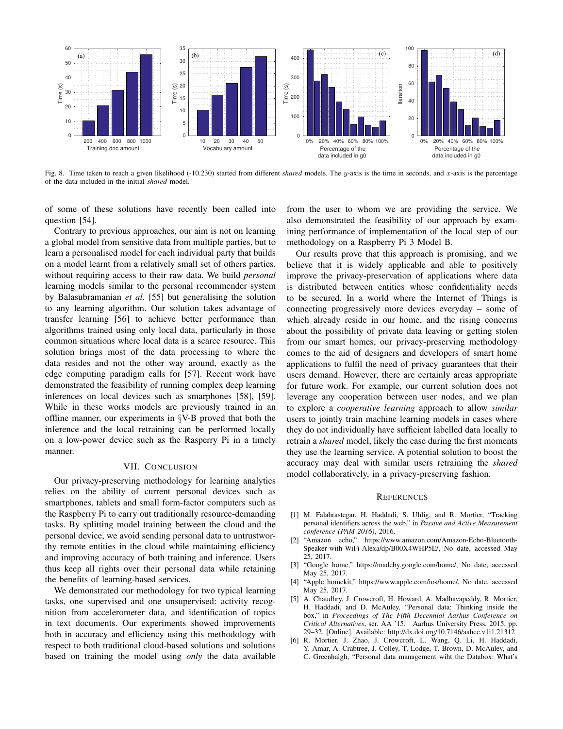

Fig. 8. Time taken to reach a given likelihood (-10.230) started from different *shared* models. The y-axis is the time in seconds, and x-axis is the percentage of the data included in the initial *shared* model.

of some of these solutions have recently been called into question [54].

Contrary to previous approaches, our aim is not on learning a global model from sensitive data from multiple parties, but to learn a personalised model for each individual party that builds on a model learnt from a relatively small set of others parties, without requiring access to their raw data. We build *personal* learning models similar to the personal recommender system by Balasubramanian *et al.* [55] but generalising the solution to any learning algorithm. Our solution takes advantage of transfer learning [56] to achieve better performance than algorithms trained using only local data, particularly in those common situations where local data is a scarce resource. This solution brings most of the data processing to where the data resides and not the other way around, exactly as the edge computing paradigm calls for [57]. Recent work have demonstrated the feasibility of running complex deep learning inferences on local devices such as smarphones [58], [59]. While in these works models are previously trained in an offline manner, our experiments in §V-B proved that both the inference and the local retraining can be performed locally on a low-power device such as the Rasperry Pi in a timely manner.

## VII. CONCLUSION

Our privacy-preserving methodology for learning analytics relies on the ability of current personal devices such as smartphones, tablets and small form-factor computers such as the Raspberry Pi to carry out traditionally resource-demanding tasks. By splitting model training between the cloud and the personal device, we avoid sending personal data to untrustworthy remote entities in the cloud while maintaining efficiency and improving accuracy of both training and inference. Users thus keep all rights over their personal data while retaining the benefits of learning-based services.

We demonstrated our methodology for two typical learning tasks, one supervised and one unsupervised: activity recognition from accelerometer data, and identification of topics in text documents. Our experiments showed improvements both in accuracy and efficiency using this methodology with respect to both traditional cloud-based solutions and solutions based on training the model using *only* the data available from the user to whom we are providing the service. We also demonstrated the feasibility of our approach by examining performance of implementation of the local step of our methodology on a Raspberry Pi 3 Model B.

Our results prove that this approach is promising, and we believe that it is widely applicable and able to positively improve the privacy-preservation of applications where data is distributed between entities whose confidentiality needs to be secured. In a world where the Internet of Things is connecting progressively more devices everyday – some of which already reside in our home, and the rising concerns about the possibility of private data leaving or getting stolen from our smart homes, our privacy-preserving methodology comes to the aid of designers and developers of smart home applications to fulfil the need of privacy guarantees that their users demand. However, there are certainly areas appropriate for future work. For example, our current solution does not leverage any cooperation between user nodes, and we plan to explore a *cooperative learning* approach to allow *similar* users to jointly train machine learning models in cases where they do not individually have sufficient labelled data locally to retrain a *shared* model, likely the case during the first moments they use the learning service. A potential solution to boost the accuracy may deal with similar users retraining the *shared* model collaboratively, in a privacy-preserving fashion.

#### **REFERENCES**

- [1] M. Falahrastegar, H. Haddadi, S. Uhlig, and R. Mortier, "Tracking personal identifiers across the web," in *Passive and Active Measurement conference (PAM 2016)*, 2016.
- [2] "Amazon echo," https://www.amazon.com/Amazon-Echo-Bluetooth-Speaker-with-WiFi-Alexa/dp/B00X4WHP5E/, No date, accessed May 25, 2017.
- [3] "Google home," https://madeby.google.com/home/, No date, accessed May 25, 2017.
- [4] "Apple homekit," https://www.apple.com/ios/home/, No date, accessed May 25, 2017.
- [5] A. Chaudhry, J. Crowcroft, H. Howard, A. Madhavapeddy, R. Mortier, H. Haddadi, and D. McAuley, "Personal data: Thinking inside the box," in *Proceedings of The Fifth Decennial Aarhus Conference on Critical Alternatives*, ser. AA '15. Aarhus University Press, 2015, pp. 29–32. [Online]. Available: http://dx.doi.org/10.7146/aahcc.v1i1.21312
- [6] R. Mortier, J. Zhao, J. Crowcroft, L. Wang, Q. Li, H. Haddadi, Y. Amar, A. Crabtree, J. Colley, T. Lodge, T. Brown, D. McAuley, and C. Greenhalgh, "Personal data management wiht the Databox: What's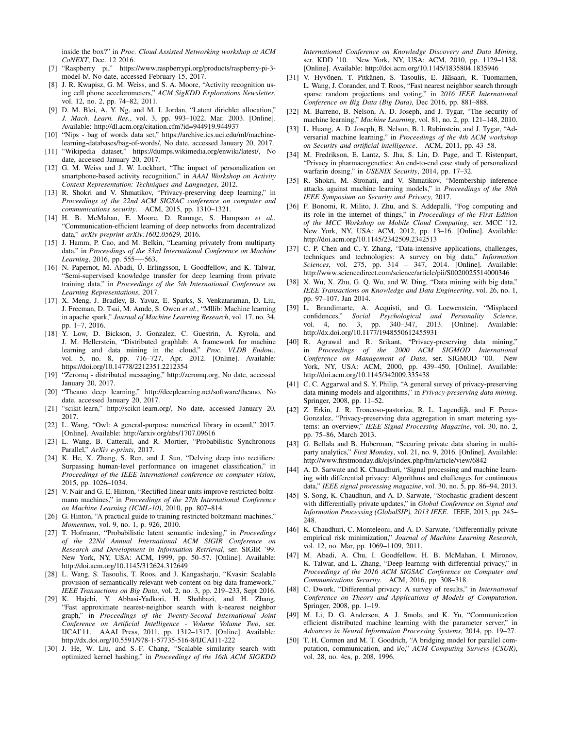inside the box?" in *Proc. Cloud Assisted Networking workshop at ACM CoNEXT*, Dec. 12 2016.

- [7] "Raspberry pi," https://www.raspberrypi.org/products/raspberry-pi-3 model-b/, No date, accessed February 15, 2017.
- [8] J. R. Kwapisz, G. M. Weiss, and S. A. Moore, "Activity recognition using cell phone accelerometers," *ACM SigKDD Explorations Newsletter*, vol. 12, no. 2, pp. 74–82, 2011.
- [9] D. M. Blei, A. Y. Ng, and M. I. Jordan, "Latent dirichlet allocation," *J. Mach. Learn. Res.*, vol. 3, pp. 993–1022, Mar. 2003. [Online]. Available: http://dl.acm.org/citation.cfm?id=944919.944937
- [10] "Nips bag of words data set," https://archive.ics.uci.edu/ml/machinelearning-databases/bag-of-words/, No date, accessed January 20, 2017.
- [11] "Wikipedia dataset," https://dumps.wikimedia.org/enwiki/latest/, No date, accessed January 20, 2017.
- [12] G. M. Weiss and J. W. Lockhart, "The impact of personalization on smartphone-based activity recognition," in *AAAI Workshop on Activity Context Representation: Techniques and Languages*, 2012.
- [13] R. Shokri and V. Shmatikov, "Privacy-preserving deep learning," in *Proceedings of the 22nd ACM SIGSAC conference on computer and communications security*. ACM, 2015, pp. 1310–1321.
- [14] H. B. McMahan, E. Moore, D. Ramage, S. Hampson *et al.*, "Communication-efficient learning of deep networks from decentralized data," *arXiv preprint arXiv:1602.05629*, 2016.
- [15] J. Hamm, P. Cao, and M. Belkin, "Learning privately from multiparty data," in *Proceedings of the 33rd International Conference on Machine Learning*, 2016, pp. 555—-563.
- [16] N. Papernot, M. Abadi, Ú. Erlingsson, I. Goodfellow, and K. Talwar, "Semi-supervised knowledge transfer for deep learning from private training data," in *Proceedings of the 5th International Conference on Learning Representations*, 2017.
- [17] X. Meng, J. Bradley, B. Yavuz, E. Sparks, S. Venkataraman, D. Liu, J. Freeman, D. Tsai, M. Amde, S. Owen *et al.*, "Mllib: Machine learning in apache spark," *Journal of Machine Learning Research*, vol. 17, no. 34, pp. 1–7, 2016.
- [18] Y. Low, D. Bickson, J. Gonzalez, C. Guestrin, A. Kyrola, and J. M. Hellerstein, "Distributed graphlab: A framework for machine learning and data mining in the cloud," *Proc. VLDB Endow.*, vol. 5, no. 8, pp. 716–727, Apr. 2012. [Online]. Available: https://doi.org/10.14778/2212351.2212354
- [19] "Zeromq distributed messaging," http://zeromq.org, No date, accessed January 20, 2017.
- [20] "Theano deep learning," http://deeplearning.net/software/theano, No date, accessed January 20, 2017.
- [21] "scikit-learn," http://scikit-learn.org/, No date, accessed January 20, 2017.
- [22] L. Wang, "Owl: A general-purpose numerical library in ocaml," 2017. [Online]. Available: http://arxiv.org/abs/1707.09616
- [23] L. Wang, B. Catterall, and R. Mortier, "Probabilistic Synchronous Parallel," *ArXiv e-prints*, 2017.
- [24] K. He, X. Zhang, S. Ren, and J. Sun, "Delving deep into rectifiers: Surpassing human-level performance on imagenet classification," in *Proceedings of the IEEE international conference on computer vision*, 2015, pp. 1026–1034.
- [25] V. Nair and G. E. Hinton, "Rectified linear units improve restricted boltzmann machines," in *Proceedings of the 27th International Conference on Machine Learning (ICML-10)*, 2010, pp. 807–814.
- [26] G. Hinton, "A practical guide to training restricted boltzmann machines," *Momentum*, vol. 9, no. 1, p. 926, 2010.
- [27] T. Hofmann, "Probabilistic latent semantic indexing," in *Proceedings of the 22Nd Annual International ACM SIGIR Conference on Research and Development in Information Retrieval*, ser. SIGIR '99. New York, NY, USA: ACM, 1999, pp. 50–57. [Online]. Available: http://doi.acm.org/10.1145/312624.312649
- [28] L. Wang, S. Tasoulis, T. Roos, and J. Kangasharju, "Kvasir: Scalable provision of semantically relevant web content on big data framework," *IEEE Transactions on Big Data*, vol. 2, no. 3, pp. 219–233, Sept 2016.
- [29] K. Hajebi, Y. Abbasi-Yadkori, H. Shahbazi, and H. Zhang, "Fast approximate nearest-neighbor search with k-nearest neighbor graph," in *Proceedings of the Twenty-Second International Joint Conference on Artificial Intelligence - Volume Volume Two*, ser. IJCAI'11. AAAI Press, 2011, pp. 1312–1317. [Online]. Available: http://dx.doi.org/10.5591/978-1-57735-516-8/IJCAI11-222
- [30] J. He, W. Liu, and S.-F. Chang, "Scalable similarity search with optimized kernel hashing," in *Proceedings of the 16th ACM SIGKDD*

*International Conference on Knowledge Discovery and Data Mining*, ser. KDD '10. New York, NY, USA: ACM, 2010, pp. 1129–1138. [Online]. Available: http://doi.acm.org/10.1145/1835804.1835946

- [31] V. Hyvönen, T. Pitkänen, S. Tasoulis, E. Jääsaari, R. Tuomainen, L. Wang, J. Corander, and T. Roos, "Fast nearest neighbor search through sparse random projections and voting," in *2016 IEEE International Conference on Big Data (Big Data)*, Dec 2016, pp. 881–888.
- [32] M. Barreno, B. Nelson, A. D. Joseph, and J. Tygar, "The security of machine learning," *Machine Learning*, vol. 81, no. 2, pp. 121–148, 2010.
- [33] L. Huang, A. D. Joseph, B. Nelson, B. I. Rubinstein, and J. Tygar, "Adversarial machine learning," in *Proceedings of the 4th ACM workshop on Security and artificial intelligence*. ACM, 2011, pp. 43–58.
- [34] M. Fredrikson, E. Lantz, S. Jha, S. Lin, D. Page, and T. Ristenpart, "Privacy in pharmacogenetics: An end-to-end case study of personalized warfarin dosing." in *USENIX Security*, 2014, pp. 17–32.
- [35] R. Shokri, M. Stronati, and V. Shmatikov, "Membership inference attacks against machine learning models," in *Proceedings of the 38th IEEE Symposium on Security and Privacy*, 2017.
- [36] F. Bonomi, R. Milito, J. Zhu, and S. Addepalli, "Fog computing and its role in the internet of things," in *Proceedings of the First Edition of the MCC Workshop on Mobile Cloud Computing*, ser. MCC '12. New York, NY, USA: ACM, 2012, pp. 13–16. [Online]. Available: http://doi.acm.org/10.1145/2342509.2342513
- [37] C. P. Chen and C.-Y. Zhang, "Data-intensive applications, challenges, techniques and technologies: A survey on big data," *Information Sciences*, vol. 275, pp. 314 – 347, 2014. [Online]. Available: http://www.sciencedirect.com/science/article/pii/S0020025514000346
- [38] X. Wu, X. Zhu, G. O. Wu, and W. Ding, "Data mining with big data," *IEEE Transactions on Knowledge and Data Engineering*, vol. 26, no. 1, pp. 97–107, Jan 2014.
- [39] L. Brandimarte, A. Acquisti, and G. Loewenstein, "Misplaced confidences," *Social Psychological and Personality Science*, vol. 4, no. 3, pp. 340–347, 2013. [Online]. Available: http://dx.doi.org/10.1177/1948550612455931
- [40] R. Agrawal and R. Srikant, "Privacy-preserving data mining," in *Proceedings of the 2000 ACM SIGMOD International Conference on Management of Data*, ser. SIGMOD '00. New York, NY, USA: ACM, 2000, pp. 439–450. [Online]. Available: http://doi.acm.org/10.1145/342009.335438
- [41] C. C. Aggarwal and S. Y. Philip, "A general survey of privacy-preserving data mining models and algorithms," in *Privacy-preserving data mining*. Springer, 2008, pp. 11–52.
- [42] Z. Erkin, J. R. Troncoso-pastoriza, R. L. Lagendijk, and F. Perez-Gonzalez, "Privacy-preserving data aggregation in smart metering systems: an overview," *IEEE Signal Processing Magazine*, vol. 30, no. 2, pp. 75–86, March 2013.
- [43] G. Bellala and B. Huberman, "Securing private data sharing in multiparty analytics," *First Monday*, vol. 21, no. 9, 2016. [Online]. Available: http://www.firstmonday.dk/ojs/index.php/fm/article/view/6842
- [44] A. D. Sarwate and K. Chaudhuri, "Signal processing and machine learning with differential privacy: Algorithms and challenges for continuous data," *IEEE signal processing magazine*, vol. 30, no. 5, pp. 86–94, 2013.
- [45] S. Song, K. Chaudhuri, and A. D. Sarwate, "Stochastic gradient descent with differentially private updates," in *Global Conference on Signal and Information Processing (GlobalSIP), 2013 IEEE*. IEEE, 2013, pp. 245– 248.
- [46] K. Chaudhuri, C. Monteleoni, and A. D. Sarwate, "Differentially private empirical risk minimization," *Journal of Machine Learning Research*, vol. 12, no. Mar, pp. 1069–1109, 2011.
- [47] M. Abadi, A. Chu, I. Goodfellow, H. B. McMahan, I. Mironov, K. Talwar, and L. Zhang, "Deep learning with differential privacy," in *Proceedings of the 2016 ACM SIGSAC Conference on Computer and Communications Security*. ACM, 2016, pp. 308–318.
- [48] C. Dwork, "Differential privacy: A survey of results," in *International Conference on Theory and Applications of Models of Computation*. Springer, 2008, pp. 1–19.
- [49] M. Li, D. G. Andersen, A. J. Smola, and K. Yu, "Communication efficient distributed machine learning with the parameter server," in *Advances in Neural Information Processing Systems*, 2014, pp. 19–27.
- [50] T. H. Cormen and M. T. Goodrich, "A bridging model for parallel computation, communication, and i/o," *ACM Computing Surveys (CSUR)*, vol. 28, no. 4es, p. 208, 1996.